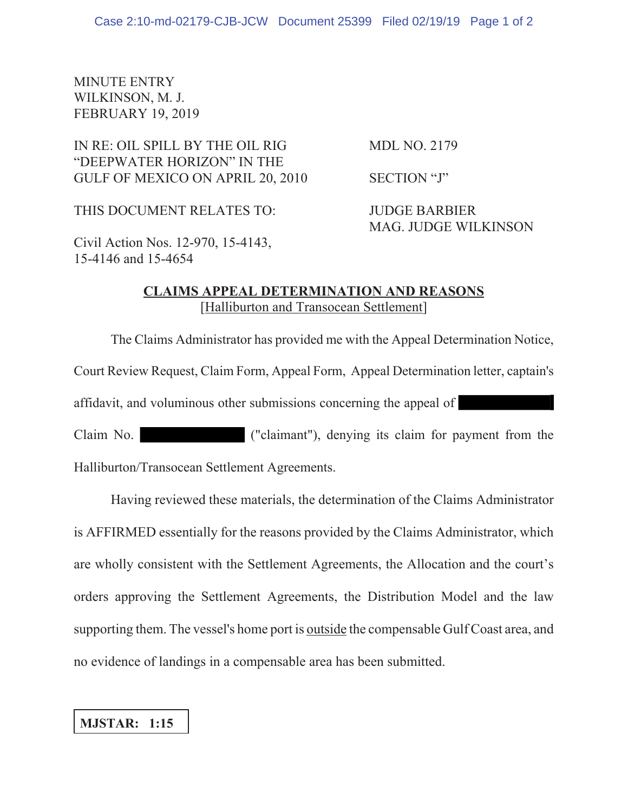## MINUTE ENTRY WILKINSON, M. J. FEBRUARY 19, 2019

IN RE: OIL SPILL BY THE OIL RIG MDL NO. 2179 "DEEPWATER HORIZON" IN THE GULF OF MEXICO ON APRIL 20, 2010 SECTION "J"

THIS DOCUMENT RELATES TO: JUDGE BARBIER

MAG. JUDGE WILKINSON

Civil Action Nos. 12-970, 15-4143, 15-4146 and 15-4654

## **CLAIMS APPEAL DETERMINATION AND REASONS** [Halliburton and Transocean Settlement]

The Claims Administrator has provided me with the Appeal Determination Notice,

Court Review Request, Claim Form, Appeal Form, Appeal Determination letter, captain's

affidavit, and voluminous other submissions concerning the appeal of

Claim No. ("claimant"), denying its claim for payment from the Halliburton/Transocean Settlement Agreements.

Having reviewed these materials, the determination of the Claims Administrator is AFFIRMED essentially for the reasons provided by the Claims Administrator, which are wholly consistent with the Settlement Agreements, the Allocation and the court's orders approving the Settlement Agreements, the Distribution Model and the law supporting them. The vessel's home port is <u>outside</u> the compensable Gulf Coast area, and no evidence of landings in a compensable area has been submitted.

## **MJSTAR: 1:15**